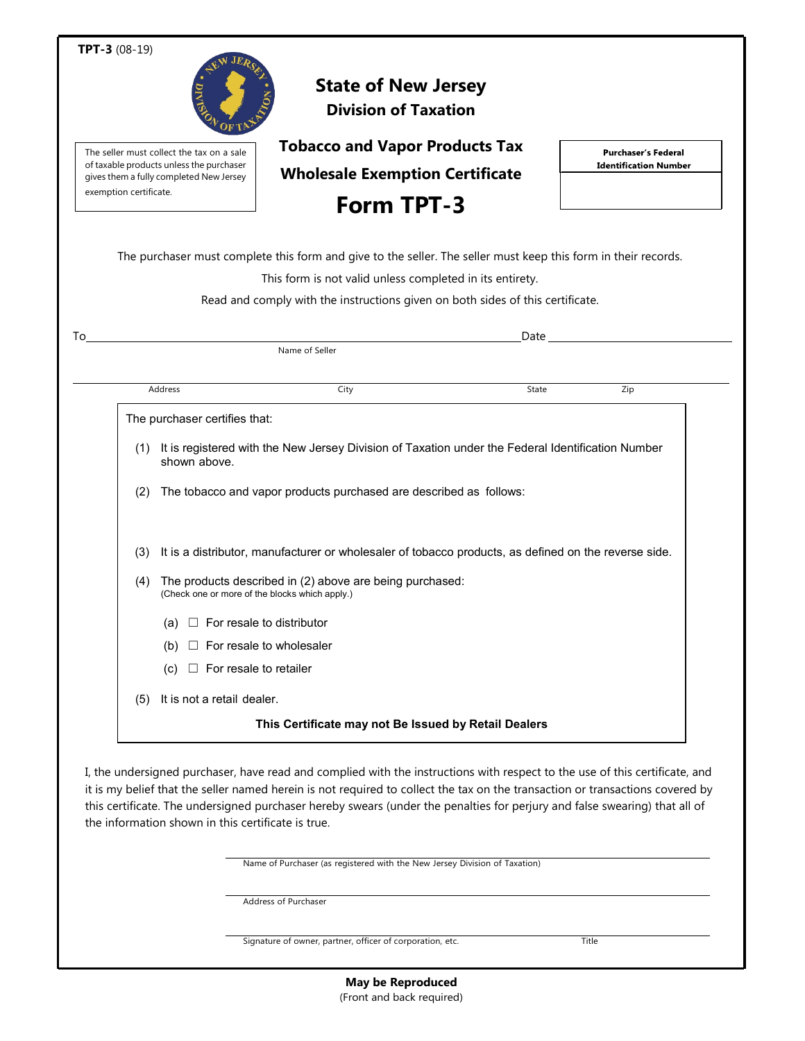| TPT-3 (08-19)                                                                                                                                              |                                                                                                            |                                                                                                                |                              |
|------------------------------------------------------------------------------------------------------------------------------------------------------------|------------------------------------------------------------------------------------------------------------|----------------------------------------------------------------------------------------------------------------|------------------------------|
|                                                                                                                                                            |                                                                                                            | <b>State of New Jersey</b><br><b>Division of Taxation</b>                                                      |                              |
| The seller must collect the tax on a sale<br>of taxable products unless the purchaser<br>gives them a fully completed New Jersey<br>exemption certificate. |                                                                                                            | <b>Tobacco and Vapor Products Tax</b>                                                                          | <b>Purchaser's Federal</b>   |
|                                                                                                                                                            |                                                                                                            | <b>Wholesale Exemption Certificate</b>                                                                         | <b>Identification Number</b> |
|                                                                                                                                                            |                                                                                                            | <b>Form TPT-3</b>                                                                                              |                              |
|                                                                                                                                                            |                                                                                                            | The purchaser must complete this form and give to the seller. The seller must keep this form in their records. |                              |
|                                                                                                                                                            |                                                                                                            | This form is not valid unless completed in its entirety.                                                       |                              |
|                                                                                                                                                            |                                                                                                            | Read and comply with the instructions given on both sides of this certificate.                                 |                              |
| To                                                                                                                                                         |                                                                                                            | Date                                                                                                           |                              |
|                                                                                                                                                            |                                                                                                            | Name of Seller                                                                                                 |                              |
| Address                                                                                                                                                    |                                                                                                            | City<br>State                                                                                                  | Zip                          |
|                                                                                                                                                            | The purchaser certifies that:                                                                              |                                                                                                                |                              |
|                                                                                                                                                            | shown above.                                                                                               | (1) It is registered with the New Jersey Division of Taxation under the Federal Identification Number          |                              |
| (2)                                                                                                                                                        | The tobacco and vapor products purchased are described as follows:                                         |                                                                                                                |                              |
|                                                                                                                                                            |                                                                                                            | (3) It is a distributor, manufacturer or wholesaler of tobacco products, as defined on the reverse side.       |                              |
| (4)                                                                                                                                                        | The products described in (2) above are being purchased:<br>(Check one or more of the blocks which apply.) |                                                                                                                |                              |
|                                                                                                                                                            | (a)                                                                                                        | For resale to distributor                                                                                      |                              |
|                                                                                                                                                            | (b)                                                                                                        | For resale to wholesaler                                                                                       |                              |
|                                                                                                                                                            | $\Box$ For resale to retailer<br>(C)                                                                       |                                                                                                                |                              |
| (5)                                                                                                                                                        | It is not a retail dealer.                                                                                 |                                                                                                                |                              |
|                                                                                                                                                            |                                                                                                            |                                                                                                                |                              |

I, the undersigned purchaser, have read and complied with the instructions with respect to the use of this certificate, and it is my belief that the seller named herein is not required to collect the tax on the transaction or transactions covered by this certificate. The undersigned purchaser hereby swears (under the penalties for perjury and false swearing) that all of the information shown in this certificate is true.

Name of Purchaser (as registered with the New Jersey Division of Taxation)

Address of Purchaser

Signature of owner, partner, officer of corporation, etc. Title